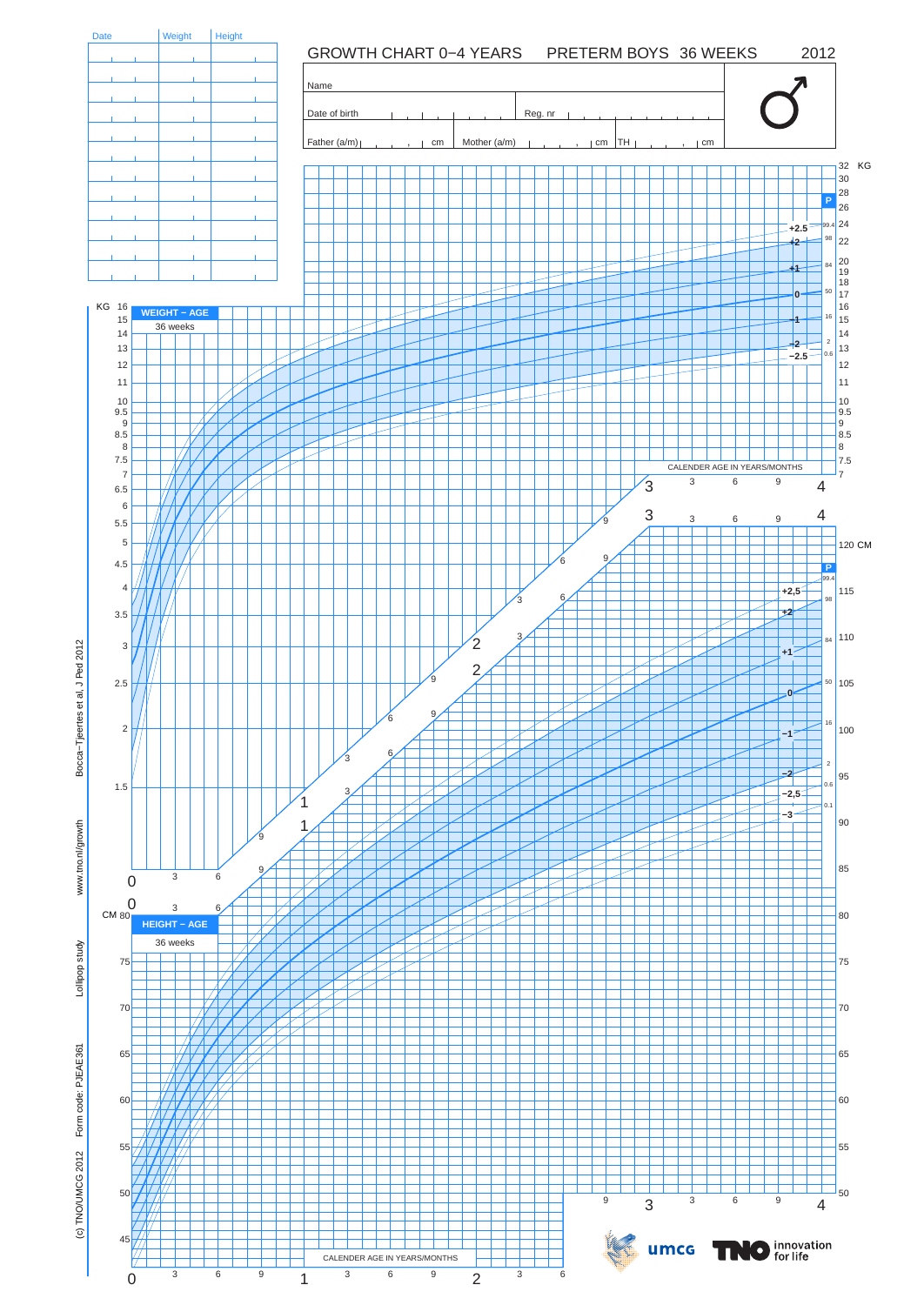